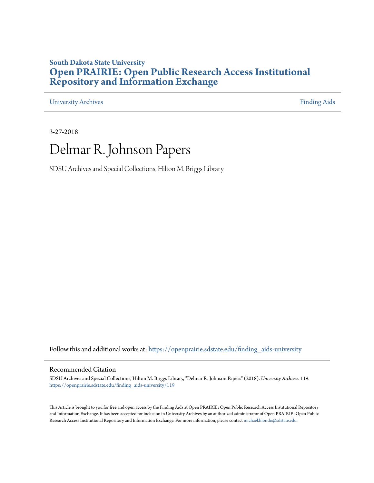### **South Dakota State University [Open PRAIRIE: Open Public Research Access Institutional](https://openprairie.sdstate.edu?utm_source=openprairie.sdstate.edu%2Ffinding_aids-university%2F119&utm_medium=PDF&utm_campaign=PDFCoverPages) [Repository and Information Exchange](https://openprairie.sdstate.edu?utm_source=openprairie.sdstate.edu%2Ffinding_aids-university%2F119&utm_medium=PDF&utm_campaign=PDFCoverPages)**

[University Archives](https://openprairie.sdstate.edu/finding_aids-university?utm_source=openprairie.sdstate.edu%2Ffinding_aids-university%2F119&utm_medium=PDF&utm_campaign=PDFCoverPages) [Finding Aids](https://openprairie.sdstate.edu/finding_aids?utm_source=openprairie.sdstate.edu%2Ffinding_aids-university%2F119&utm_medium=PDF&utm_campaign=PDFCoverPages)

3-27-2018

# Delmar R. Johnson Papers

SDSU Archives and Special Collections, Hilton M. Briggs Library

Follow this and additional works at: [https://openprairie.sdstate.edu/finding\\_aids-university](https://openprairie.sdstate.edu/finding_aids-university?utm_source=openprairie.sdstate.edu%2Ffinding_aids-university%2F119&utm_medium=PDF&utm_campaign=PDFCoverPages)

#### Recommended Citation

SDSU Archives and Special Collections, Hilton M. Briggs Library, "Delmar R. Johnson Papers" (2018). *University Archives*. 119. [https://openprairie.sdstate.edu/finding\\_aids-university/119](https://openprairie.sdstate.edu/finding_aids-university/119?utm_source=openprairie.sdstate.edu%2Ffinding_aids-university%2F119&utm_medium=PDF&utm_campaign=PDFCoverPages)

This Article is brought to you for free and open access by the Finding Aids at Open PRAIRIE: Open Public Research Access Institutional Repository and Information Exchange. It has been accepted for inclusion in University Archives by an authorized administrator of Open PRAIRIE: Open Public Research Access Institutional Repository and Information Exchange. For more information, please contact [michael.biondo@sdstate.edu.](mailto:michael.biondo@sdstate.edu)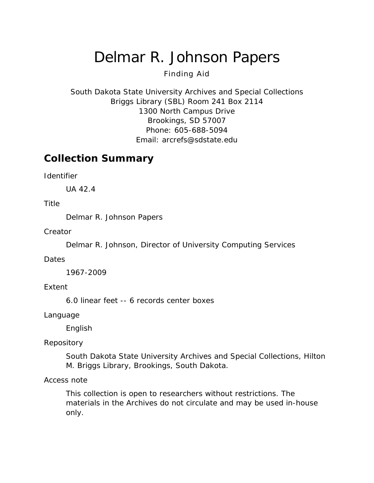# Delmar R. Johnson Papers

### Finding Aid

South Dakota State University Archives and Special Collections Briggs Library (SBL) Room 241 Box 2114 1300 North Campus Drive Brookings, SD 57007 Phone: 605-688-5094 Email: [arcrefs@sdstate.edu](mailto:arcrefs@sdstate.edu)

## **Collection Summary**

*Identifier*

UA 42.4

#### *Title*

Delmar R. Johnson Papers

*Creator*

Delmar R. Johnson, Director of University Computing Services

#### *Dates*

1967-2009

#### *Extent*

6.0 linear feet -- 6 records center boxes

*Language*

English

#### *Repository*

South Dakota State University Archives and Special Collections, Hilton M. Briggs Library, Brookings, South Dakota.

#### *Access note*

This collection is open to researchers without restrictions. The materials in the Archives do not circulate and may be used in-house only.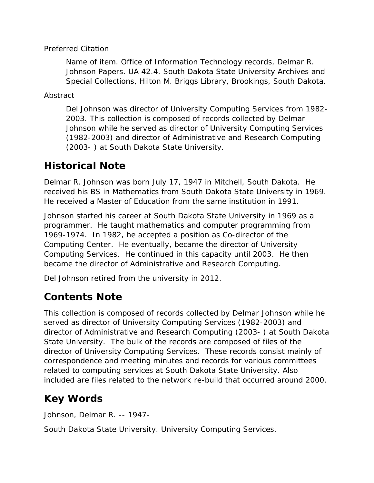### *Preferred Citation*

*Name of item*. Office of Information Technology records, Delmar R. Johnson Papers. UA 42.4. South Dakota State University Archives and Special Collections, Hilton M. Briggs Library, Brookings, South Dakota.

*Abstract*

Del Johnson was director of University Computing Services from 1982- 2003. This collection is composed of records collected by Delmar Johnson while he served as director of University Computing Services (1982-2003) and director of Administrative and Research Computing (2003- ) at South Dakota State University.

# **Historical Note**

Delmar R. Johnson was born July 17, 1947 in Mitchell, South Dakota. He received his BS in Mathematics from South Dakota State University in 1969. He received a Master of Education from the same institution in 1991.

Johnson started his career at South Dakota State University in 1969 as a programmer. He taught mathematics and computer programming from 1969-1974. In 1982, he accepted a position as Co-director of the Computing Center. He eventually, became the director of University Computing Services. He continued in this capacity until 2003. He then became the director of Administrative and Research Computing.

Del Johnson retired from the university in 2012.

## **Contents Note**

This collection is composed of records collected by Delmar Johnson while he served as director of University Computing Services (1982-2003) and director of Administrative and Research Computing (2003- ) at South Dakota State University. The bulk of the records are composed of files of the director of University Computing Services. These records consist mainly of correspondence and meeting minutes and records for various committees related to computing services at South Dakota State University. Also included are files related to the network re-build that occurred around 2000.

# **Key Words**

Johnson, Delmar R. -- 1947-

South Dakota State University. University Computing Services.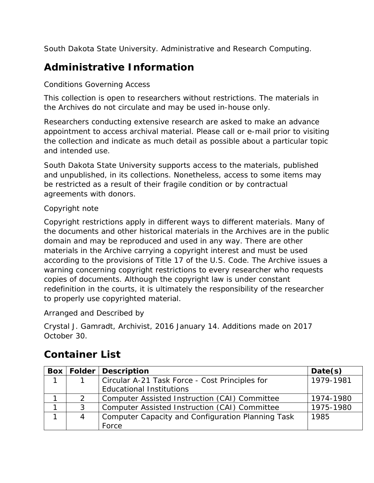South Dakota State University. Administrative and Research Computing.

# **Administrative Information**

### *Conditions Governing Access*

This collection is open to researchers without restrictions. The materials in the Archives do not circulate and may be used in-house only.

Researchers conducting extensive research are asked to make an advance appointment to access archival material. Please call or e-mail prior to visiting the collection and indicate as much detail as possible about a particular topic and intended use.

South Dakota State University supports access to the materials, published and unpublished, in its collections. Nonetheless, access to some items may be restricted as a result of their fragile condition or by contractual agreements with donors.

### *Copyright note*

Copyright restrictions apply in different ways to different materials. Many of the documents and other historical materials in the Archives are in the public domain and may be reproduced and used in any way. There are other materials in the Archive carrying a copyright interest and must be used according to the provisions of Title 17 of the U.S. Code. The Archive issues a warning concerning copyright restrictions to every researcher who requests copies of documents. Although the copyright law is under constant redefinition in the courts, it is ultimately the responsibility of the researcher to properly use copyrighted material.

### *Arranged and Described by*

Crystal J. Gamradt, Archivist, 2016 January 14. Additions made on 2017 October 30.

# **Container List**

| <b>Box</b> |   | <b>Folder   Description</b>                              | Date(s)   |
|------------|---|----------------------------------------------------------|-----------|
| 1          |   | Circular A-21 Task Force - Cost Principles for           | 1979-1981 |
|            |   | <b>Educational Institutions</b>                          |           |
|            |   | Computer Assisted Instruction (CAI) Committee            | 1974-1980 |
|            | 3 | Computer Assisted Instruction (CAI) Committee            | 1975-1980 |
|            | 4 | <b>Computer Capacity and Configuration Planning Task</b> | 1985      |
|            |   | Force                                                    |           |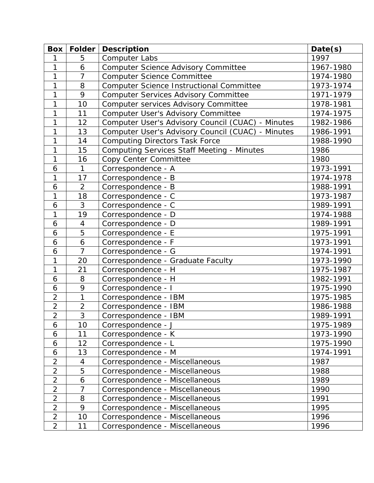| <b>Box</b>     | Folder         | <b>Description</b>                                | Date(s)   |
|----------------|----------------|---------------------------------------------------|-----------|
| 1              | 5              | <b>Computer Labs</b>                              | 1997      |
| 1              | 6              | <b>Computer Science Advisory Committee</b>        | 1967-1980 |
| 1              | $\overline{7}$ | <b>Computer Science Committee</b>                 | 1974-1980 |
| 1              | 8              | Computer Science Instructional Committee          | 1973-1974 |
| 1              | 9              | <b>Computer Services Advisory Committee</b>       | 1971-1979 |
| 1              | 10             | Computer services Advisory Committee              | 1978-1981 |
| 1              | 11             | Computer User's Advisory Committee                | 1974-1975 |
| 1              | 12             | Computer User's Advisory Council (CUAC) - Minutes | 1982-1986 |
| 1              | 13             | Computer User's Advisory Council (CUAC) - Minutes | 1986-1991 |
| 1              | 14             | <b>Computing Directors Task Force</b>             | 1988-1990 |
| 1              | 15             | <b>Computing Services Staff Meeting - Minutes</b> | 1986      |
| 1              | 16             | Copy Center Committee                             | 1980      |
| 6              | $\mathbf{1}$   | Correspondence - A                                | 1973-1991 |
| 1              | 17             | Correspondence - B                                | 1974-1978 |
| 6              | $\overline{2}$ | Correspondence - B                                | 1988-1991 |
| 1              | 18             | Correspondence - C                                | 1973-1987 |
| 6              | 3              | Correspondence - C                                | 1989-1991 |
| 1              | 19             | Correspondence - D                                | 1974-1988 |
| 6              | $\overline{4}$ | Correspondence - D                                | 1989-1991 |
| 6              | 5              | Correspondence - E                                | 1975-1991 |
| 6              | 6              | Correspondence - F                                | 1973-1991 |
| 6              | $\overline{7}$ | Correspondence - G                                | 1974-1991 |
| 1              | 20             | Correspondence - Graduate Faculty                 | 1973-1990 |
| $\mathbf{1}$   | 21             | Correspondence - H                                | 1975-1987 |
| 6              | 8              | Correspondence - H                                | 1982-1991 |
| 6              | 9              | Correspondence - I                                | 1975-1990 |
| $\overline{2}$ | 1              | Correspondence - IBM                              | 1975-1985 |
| $\overline{2}$ | $\overline{2}$ | Correspondence - IBM                              | 1986-1988 |
| $\overline{2}$ | 3              | Correspondence - IBM                              | 1989-1991 |
| 6              | 10             | Correspondence - J                                | 1975-1989 |
| 6              | 11             | Correspondence - K                                | 1973-1990 |
| 6              | 12             | Correspondence - L                                | 1975-1990 |
| 6              | 13             | Correspondence - M                                | 1974-1991 |
| $\overline{2}$ | 4              | Correspondence - Miscellaneous                    | 1987      |
| $\overline{2}$ | 5              | Correspondence - Miscellaneous                    | 1988      |
| $\overline{2}$ | 6              | Correspondence - Miscellaneous                    | 1989      |
| $\overline{2}$ | 7              | Correspondence - Miscellaneous                    | 1990      |
| $\overline{2}$ | 8              | Correspondence - Miscellaneous                    | 1991      |
| $\overline{2}$ | 9              | Correspondence - Miscellaneous                    | 1995      |
| $\overline{2}$ | 10             | Correspondence - Miscellaneous                    | 1996      |
| $\overline{2}$ | 11             | Correspondence - Miscellaneous                    | 1996      |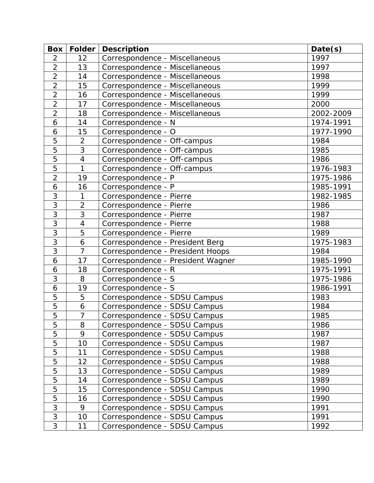| <b>Box</b>     | <b>Folder</b>  | <b>Description</b>                | Date(s)   |
|----------------|----------------|-----------------------------------|-----------|
| $\overline{2}$ | 12             | Correspondence - Miscellaneous    | 1997      |
| $\overline{2}$ | 13             | Correspondence - Miscellaneous    | 1997      |
| $\overline{2}$ | 14             | Correspondence - Miscellaneous    | 1998      |
| $\overline{2}$ | 15             | Correspondence - Miscellaneous    | 1999      |
| $\overline{2}$ | 16             | Correspondence - Miscellaneous    | 1999      |
| $\overline{2}$ | 17             | Correspondence - Miscellaneous    | 2000      |
| $\overline{2}$ | 18             | Correspondence - Miscellaneous    | 2002-2009 |
| 6              | 14             | Correspondence - N                | 1974-1991 |
| 6              | 15             | Correspondence - O                | 1977-1990 |
| 5              | $\overline{2}$ | Correspondence - Off-campus       | 1984      |
| 5              | 3              | Correspondence - Off-campus       | 1985      |
| 5              | $\overline{4}$ | Correspondence - Off-campus       | 1986      |
| 5              | $\mathbf{1}$   | Correspondence - Off-campus       | 1976-1983 |
| $\overline{2}$ | 19             | Correspondence - P                | 1975-1986 |
| 6              | 16             | Correspondence - P                | 1985-1991 |
| 3              | $\mathbf{1}$   | Correspondence - Pierre           | 1982-1985 |
| $\overline{3}$ | $\overline{2}$ | Correspondence - Pierre           | 1986      |
| 3              | 3              | Correspondence - Pierre           | 1987      |
| 3              | $\overline{4}$ | Correspondence - Pierre           | 1988      |
| 3              | 5              | Correspondence - Pierre           | 1989      |
| 3              | 6              | Correspondence - President Berg   | 1975-1983 |
| 3              | $\overline{7}$ | Correspondence - President Hoops  | 1984      |
| 6              | 17             | Correspondence - President Wagner | 1985-1990 |
| 6              | 18             | Correspondence - R                | 1975-1991 |
| 3              | 8              | Correspondence - S                | 1975-1986 |
| 6              | 19             | Correspondence - S                | 1986-1991 |
| 5              | 5              | Correspondence - SDSU Campus      | 1983      |
| 5              | 6              | Correspondence - SDSU Campus      | 1984      |
| $\overline{5}$ | $\overline{7}$ | Correspondence - SDSU Campus      | 1985      |
| 5              | 8              | Correspondence - SDSU Campus      | 1986      |
| 5              | 9              | Correspondence - SDSU Campus      | 1987      |
| 5              | 10             | Correspondence - SDSU Campus      | 1987      |
| 5              | 11             | Correspondence - SDSU Campus      | 1988      |
| 5              | 12             | Correspondence - SDSU Campus      | 1988      |
| 5              | 13             | Correspondence - SDSU Campus      | 1989      |
| 5              | 14             | Correspondence - SDSU Campus      | 1989      |
| 5              | 15             | Correspondence - SDSU Campus      | 1990      |
| 5              | 16             | Correspondence - SDSU Campus      | 1990      |
| 3              | 9              | Correspondence - SDSU Campus      | 1991      |
| 3              | 10             | Correspondence - SDSU Campus      | 1991      |
| 3              | 11             | Correspondence - SDSU Campus      | 1992      |